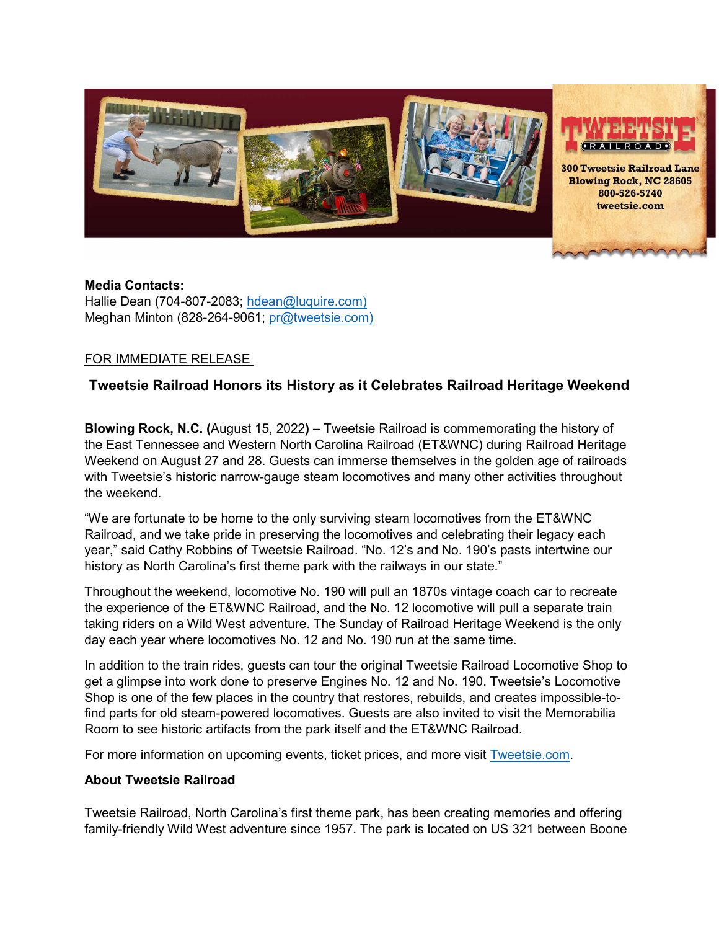

## **Media Contacts:**

Hallie Dean (704-807-2083; [hdean@luquire.com\)](mailto:hdean@luquire.com) Meghan Minton (828-264-9061; [pr@tweetsie.com\)](about:blank)

## FOR IMMEDIATE RELEASE

## **Tweetsie Railroad Honors its History as it Celebrates Railroad Heritage Weekend**

**Blowing Rock, N.C. (**August 15, 2022**)** – Tweetsie Railroad is commemorating the history of the East Tennessee and Western North Carolina Railroad (ET&WNC) during Railroad Heritage Weekend on August 27 and 28. Guests can immerse themselves in the golden age of railroads with Tweetsie's historic narrow-gauge steam locomotives and many other activities throughout the weekend.

"We are fortunate to be home to the only surviving steam locomotives from the ET&WNC Railroad, and we take pride in preserving the locomotives and celebrating their legacy each year," said Cathy Robbins of Tweetsie Railroad. "No. 12's and No. 190's pasts intertwine our history as North Carolina's first theme park with the railways in our state."

Throughout the weekend, locomotive No. 190 will pull an 1870s vintage coach car to recreate the experience of the ET&WNC Railroad, and the No. 12 locomotive will pull a separate train taking riders on a Wild West adventure. The Sunday of Railroad Heritage Weekend is the only day each year where locomotives No. 12 and No. 190 run at the same time.

In addition to the train rides, guests can tour the original Tweetsie Railroad Locomotive Shop to get a glimpse into work done to preserve Engines No. 12 and No. 190. Tweetsie's Locomotive Shop is one of the few places in the country that restores, rebuilds, and creates impossible-tofind parts for old steam-powered locomotives. Guests are also invited to visit the Memorabilia Room to see historic artifacts from the park itself and the ET&WNC Railroad.

For more information on upcoming events, ticket prices, and more visit [Tweetsie.com.](https://tweetsie.com/)

## **About Tweetsie Railroad**

Tweetsie Railroad, North Carolina's first theme park, has been creating memories and offering family-friendly Wild West adventure since 1957. The park is located on US 321 between Boone